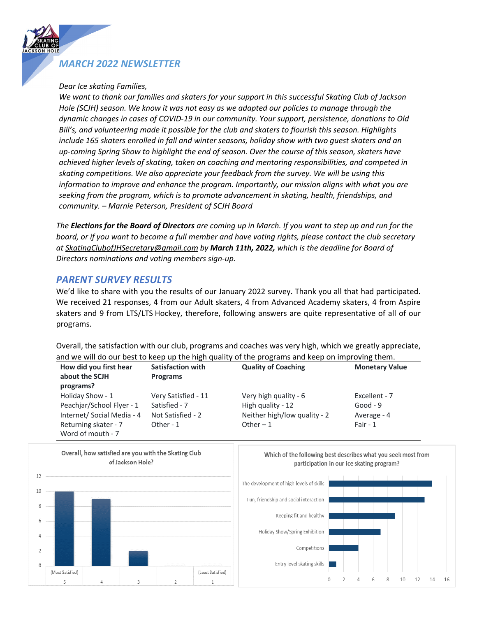## *MARCH 2022 NEWSLETTER*

### *Dear Ice skating Families,*

ረ<br>K

*We want to thank our families and skaters for your support in this successful Skating Club of Jackson Hole (SCJH) season. We know it was not easy as we adapted our policies to manage through the dynamic changes in cases of COVID-19 in our community. Your support, persistence, donations to Old Bill's, and volunteering made it possible for the club and skaters to flourish this season. Highlights include 165 skaters enrolled in fall and winter seasons, holiday show with two guest skaters and an up-coming Spring Show to highlight the end of season. Over the course of this season, skaters have achieved higher levels of skating, taken on coaching and mentoring responsibilities, and competed in skating competitions. We also appreciate your feedback from the survey. We will be using this information to improve and enhance the program. Importantly, our mission aligns with what you are seeking from the program, which is to promote advancement in skating, health, friendships, and community. – Marnie Peterson, President of SCJH Board*

*The Elections for the Board of Directors are coming up in March. If you want to step up and run for the board, or if you want to become a full member and have voting rights, please contact the club secretary at SkatingClubofJHSecretary@gmail.com by March 11th, 2022, which is the deadline for Board of Directors nominations and voting members sign-up.* 

### *PARENT SURVEY RESULTS*

We'd like to share with you the results of our January 2022 survey. Thank you all that had participated. We received 21 responses, 4 from our Adult skaters, 4 from Advanced Academy skaters, 4 from Aspire skaters and 9 from LTS/LTS Hockey, therefore, following answers are quite representative of all of our programs. *secretary at SkatingClubofJHSecretary@gmail.com by March 11th, 2022, which is the deadline for* 

Overall, the satisfaction with our club, programs and coaches was very high, which we greatly appreciate, and we will do our best to keep up the high quality of the programs and keep on improving them.

| How did you first hear<br>about the SCJH<br>programs? | <b>Satisfaction with</b><br><b>Programs</b> | <b>Quality of Coaching</b>   | <b>Monetary Value</b> |
|-------------------------------------------------------|---------------------------------------------|------------------------------|-----------------------|
| Holiday Show - 1                                      | Very Satisfied - 11                         | Very high quality - 6        | Excellent - 7         |
| Peachjar/School Flyer - 1                             | Satisfied - 7                               | High quality - 12            | Good - $9$            |
| Internet/ Social Media - 4                            | Not Satisfied - 2                           | Neither high/low quality - 2 | Average - 4           |
| Returning skater - 7<br>Word of mouth - 7             | Other - 1                                   | Other $-1$                   | Fair - $1$            |